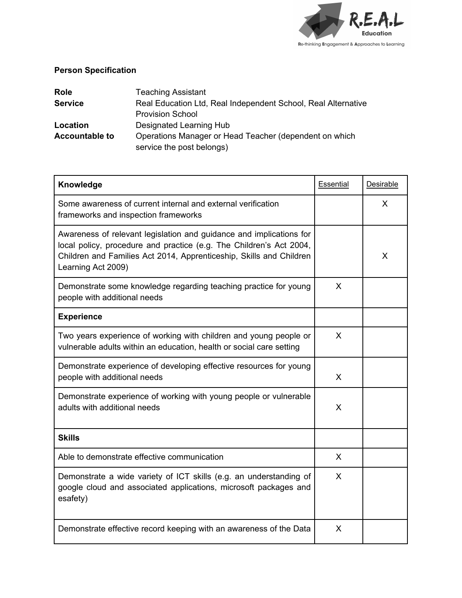

## **Person Specification**

| <b>Role</b>           | <b>Teaching Assistant</b>                                     |
|-----------------------|---------------------------------------------------------------|
| <b>Service</b>        | Real Education Ltd, Real Independent School, Real Alternative |
|                       | <b>Provision School</b>                                       |
| Location              | Designated Learning Hub                                       |
| <b>Accountable to</b> | Operations Manager or Head Teacher (dependent on which        |
|                       | service the post belongs)                                     |

| Knowledge                                                                                                                                                                                                                               | Essential | Desirable |
|-----------------------------------------------------------------------------------------------------------------------------------------------------------------------------------------------------------------------------------------|-----------|-----------|
| Some awareness of current internal and external verification<br>frameworks and inspection frameworks                                                                                                                                    |           | $\sf X$   |
| Awareness of relevant legislation and guidance and implications for<br>local policy, procedure and practice (e.g. The Children's Act 2004,<br>Children and Families Act 2014, Apprenticeship, Skills and Children<br>Learning Act 2009) |           | X         |
| Demonstrate some knowledge regarding teaching practice for young<br>people with additional needs                                                                                                                                        | X         |           |
| <b>Experience</b>                                                                                                                                                                                                                       |           |           |
| Two years experience of working with children and young people or<br>vulnerable adults within an education, health or social care setting                                                                                               | X         |           |
| Demonstrate experience of developing effective resources for young<br>people with additional needs                                                                                                                                      | X         |           |
| Demonstrate experience of working with young people or vulnerable<br>adults with additional needs                                                                                                                                       | X         |           |
| <b>Skills</b>                                                                                                                                                                                                                           |           |           |
| Able to demonstrate effective communication                                                                                                                                                                                             | $\sf X$   |           |
| Demonstrate a wide variety of ICT skills (e.g. an understanding of<br>google cloud and associated applications, microsoft packages and<br>esafety)                                                                                      | $\sf X$   |           |
| Demonstrate effective record keeping with an awareness of the Data                                                                                                                                                                      | X         |           |